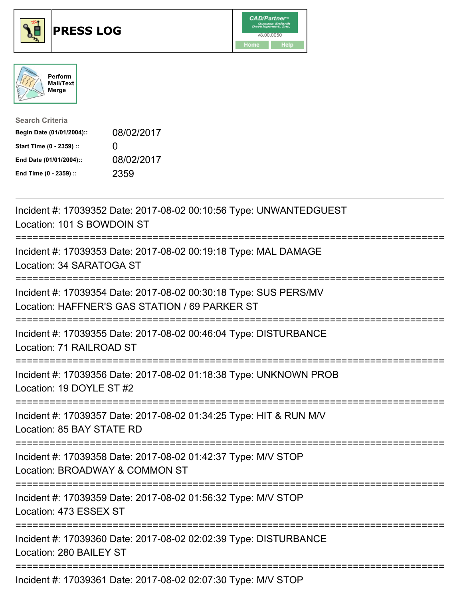





| <b>Search Criteria</b>    |                   |
|---------------------------|-------------------|
| Begin Date (01/01/2004):: | 08/02/2017        |
| Start Time (0 - 2359) ::  | $\mathbf{\Omega}$ |
| End Date (01/01/2004)::   | 08/02/2017        |
| End Time (0 - 2359) ::    | 2359              |

| Incident #: 17039352 Date: 2017-08-02 00:10:56 Type: UNWANTEDGUEST<br>Location: 101 S BOWDOIN ST<br>:===========                                    |
|-----------------------------------------------------------------------------------------------------------------------------------------------------|
| Incident #: 17039353 Date: 2017-08-02 00:19:18 Type: MAL DAMAGE<br>Location: 34 SARATOGA ST<br>==============                                       |
| Incident #: 17039354 Date: 2017-08-02 00:30:18 Type: SUS PERS/MV<br>Location: HAFFNER'S GAS STATION / 69 PARKER ST<br>============================= |
| Incident #: 17039355 Date: 2017-08-02 00:46:04 Type: DISTURBANCE<br>Location: 71 RAILROAD ST                                                        |
| Incident #: 17039356 Date: 2017-08-02 01:18:38 Type: UNKNOWN PROB<br>Location: 19 DOYLE ST #2<br>-----------------------------------                |
| Incident #: 17039357 Date: 2017-08-02 01:34:25 Type: HIT & RUN M/V<br>Location: 85 BAY STATE RD                                                     |
| Incident #: 17039358 Date: 2017-08-02 01:42:37 Type: M/V STOP<br>Location: BROADWAY & COMMON ST                                                     |
| Incident #: 17039359 Date: 2017-08-02 01:56:32 Type: M/V STOP<br>Location: 473 ESSEX ST                                                             |
| Incident #: 17039360 Date: 2017-08-02 02:02:39 Type: DISTURBANCE<br>Location: 280 BAILEY ST                                                         |
| Incident #: 17039361 Date: 2017-08-02 02:07:30 Type: M/V STOP                                                                                       |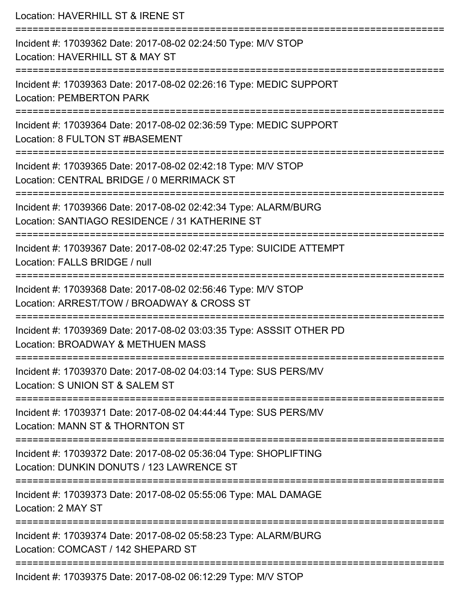Location: HAVERHILL ST & IRENE ST =========================================================================== Incident #: 17039362 Date: 2017-08-02 02:24:50 Type: M/V STOP Location: HAVERHILL ST & MAY ST =========================================================================== Incident #: 17039363 Date: 2017-08-02 02:26:16 Type: MEDIC SUPPORT Location: PEMBERTON PARK =========================================================================== Incident #: 17039364 Date: 2017-08-02 02:36:59 Type: MEDIC SUPPORT Location: 8 FULTON ST #BASEMENT =========================================================================== Incident #: 17039365 Date: 2017-08-02 02:42:18 Type: M/V STOP Location: CENTRAL BRIDGE / 0 MERRIMACK ST ======================= Incident #: 17039366 Date: 2017-08-02 02:42:34 Type: ALARM/BURG Location: SANTIAGO RESIDENCE / 31 KATHERINE ST =========================================================================== Incident #: 17039367 Date: 2017-08-02 02:47:25 Type: SUICIDE ATTEMPT Location: FALLS BRIDGE / null =========================================================================== Incident #: 17039368 Date: 2017-08-02 02:56:46 Type: M/V STOP Location: ARREST/TOW / BROADWAY & CROSS ST =========================================================================== Incident #: 17039369 Date: 2017-08-02 03:03:35 Type: ASSSIT OTHER PD Location: BROADWAY & METHUEN MASS =========================================================================== Incident #: 17039370 Date: 2017-08-02 04:03:14 Type: SUS PERS/MV Location: S UNION ST & SALEM ST =========================================================================== Incident #: 17039371 Date: 2017-08-02 04:44:44 Type: SUS PERS/MV Location: MANN ST & THORNTON ST =========================================================================== Incident #: 17039372 Date: 2017-08-02 05:36:04 Type: SHOPLIFTING Location: DUNKIN DONUTS / 123 LAWRENCE ST =========================================================================== Incident #: 17039373 Date: 2017-08-02 05:55:06 Type: MAL DAMAGE Location: 2 MAY ST =========================================================================== Incident #: 17039374 Date: 2017-08-02 05:58:23 Type: ALARM/BURG Location: COMCAST / 142 SHEPARD ST =========================================================================== Incident #: 17039375 Date: 2017-08-02 06:12:29 Type: M/V STOP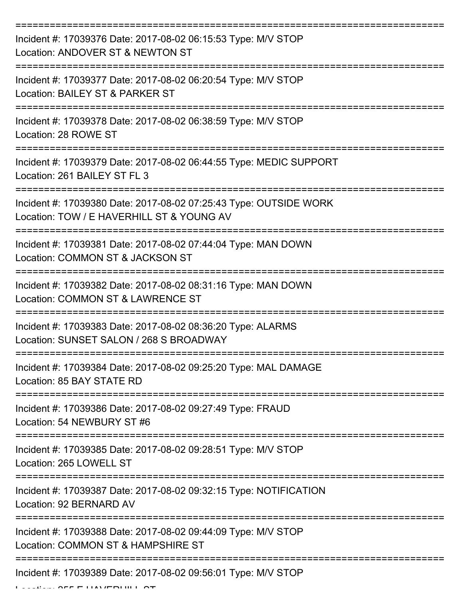| Incident #: 17039376 Date: 2017-08-02 06:15:53 Type: M/V STOP<br>Location: ANDOVER ST & NEWTON ST              |
|----------------------------------------------------------------------------------------------------------------|
| Incident #: 17039377 Date: 2017-08-02 06:20:54 Type: M/V STOP<br>Location: BAILEY ST & PARKER ST               |
| Incident #: 17039378 Date: 2017-08-02 06:38:59 Type: M/V STOP<br>Location: 28 ROWE ST                          |
| Incident #: 17039379 Date: 2017-08-02 06:44:55 Type: MEDIC SUPPORT<br>Location: 261 BAILEY ST FL 3             |
| Incident #: 17039380 Date: 2017-08-02 07:25:43 Type: OUTSIDE WORK<br>Location: TOW / E HAVERHILL ST & YOUNG AV |
| Incident #: 17039381 Date: 2017-08-02 07:44:04 Type: MAN DOWN<br>Location: COMMON ST & JACKSON ST              |
| Incident #: 17039382 Date: 2017-08-02 08:31:16 Type: MAN DOWN<br>Location: COMMON ST & LAWRENCE ST             |
| Incident #: 17039383 Date: 2017-08-02 08:36:20 Type: ALARMS<br>Location: SUNSET SALON / 268 S BROADWAY         |
| Incident #: 17039384 Date: 2017-08-02 09:25:20 Type: MAL DAMAGE<br>Location: 85 BAY STATE RD                   |
| Incident #: 17039386 Date: 2017-08-02 09:27:49 Type: FRAUD<br>Location: 54 NEWBURY ST #6                       |
| Incident #: 17039385 Date: 2017-08-02 09:28:51 Type: M/V STOP<br>Location: 265 LOWELL ST                       |
| Incident #: 17039387 Date: 2017-08-02 09:32:15 Type: NOTIFICATION<br>Location: 92 BERNARD AV                   |
| Incident #: 17039388 Date: 2017-08-02 09:44:09 Type: M/V STOP<br>Location: COMMON ST & HAMPSHIRE ST            |
| Incident #: 17039389 Date: 2017-08-02 09:56:01 Type: M/V STOP                                                  |

Location: 255 E HAVERHILL ST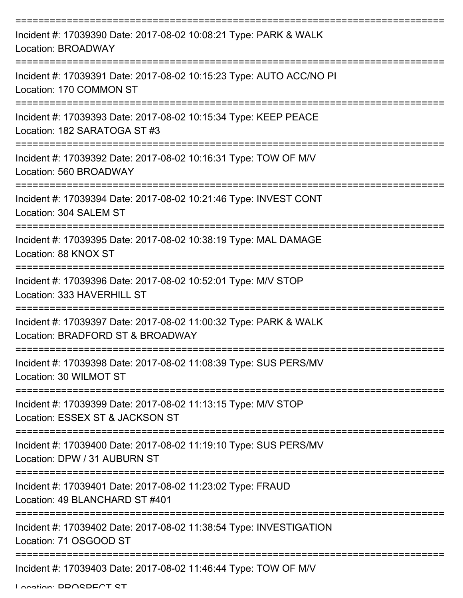| Incident #: 17039390 Date: 2017-08-02 10:08:21 Type: PARK & WALK<br><b>Location: BROADWAY</b>        |
|------------------------------------------------------------------------------------------------------|
| Incident #: 17039391 Date: 2017-08-02 10:15:23 Type: AUTO ACC/NO PI<br>Location: 170 COMMON ST       |
| Incident #: 17039393 Date: 2017-08-02 10:15:34 Type: KEEP PEACE<br>Location: 182 SARATOGA ST #3      |
| Incident #: 17039392 Date: 2017-08-02 10:16:31 Type: TOW OF M/V<br>Location: 560 BROADWAY            |
| Incident #: 17039394 Date: 2017-08-02 10:21:46 Type: INVEST CONT<br>Location: 304 SALEM ST           |
| Incident #: 17039395 Date: 2017-08-02 10:38:19 Type: MAL DAMAGE<br>Location: 88 KNOX ST              |
| Incident #: 17039396 Date: 2017-08-02 10:52:01 Type: M/V STOP<br>Location: 333 HAVERHILL ST          |
| Incident #: 17039397 Date: 2017-08-02 11:00:32 Type: PARK & WALK<br>Location: BRADFORD ST & BROADWAY |
| Incident #: 17039398 Date: 2017-08-02 11:08:39 Type: SUS PERS/MV<br>Location: 30 WILMOT ST           |
| Incident #: 17039399 Date: 2017-08-02 11:13:15 Type: M/V STOP<br>Location: ESSEX ST & JACKSON ST     |
| Incident #: 17039400 Date: 2017-08-02 11:19:10 Type: SUS PERS/MV<br>Location: DPW / 31 AUBURN ST     |
| Incident #: 17039401 Date: 2017-08-02 11:23:02 Type: FRAUD<br>Location: 49 BLANCHARD ST #401         |
| Incident #: 17039402 Date: 2017-08-02 11:38:54 Type: INVESTIGATION<br>Location: 71 OSGOOD ST         |
| Incident #: 17039403 Date: 2017-08-02 11:46:44 Type: TOW OF M/V                                      |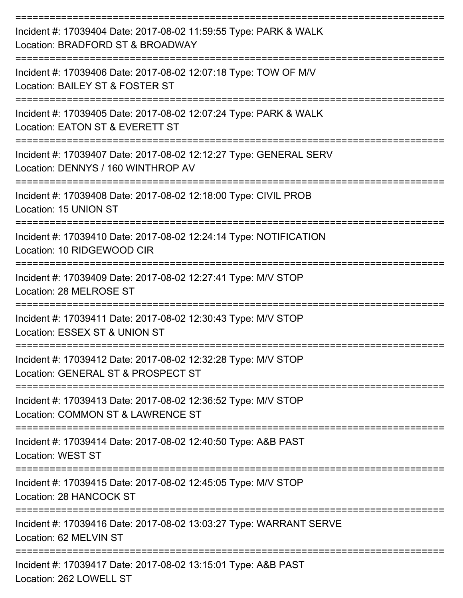| Incident #: 17039404 Date: 2017-08-02 11:59:55 Type: PARK & WALK<br>Location: BRADFORD ST & BROADWAY                                     |
|------------------------------------------------------------------------------------------------------------------------------------------|
| Incident #: 17039406 Date: 2017-08-02 12:07:18 Type: TOW OF M/V<br>Location: BAILEY ST & FOSTER ST                                       |
| Incident #: 17039405 Date: 2017-08-02 12:07:24 Type: PARK & WALK<br>Location: EATON ST & EVERETT ST                                      |
| Incident #: 17039407 Date: 2017-08-02 12:12:27 Type: GENERAL SERV<br>Location: DENNYS / 160 WINTHROP AV                                  |
| Incident #: 17039408 Date: 2017-08-02 12:18:00 Type: CIVIL PROB<br>Location: 15 UNION ST                                                 |
| Incident #: 17039410 Date: 2017-08-02 12:24:14 Type: NOTIFICATION<br>Location: 10 RIDGEWOOD CIR                                          |
| Incident #: 17039409 Date: 2017-08-02 12:27:41 Type: M/V STOP<br>Location: 28 MELROSE ST                                                 |
| Incident #: 17039411 Date: 2017-08-02 12:30:43 Type: M/V STOP<br>Location: ESSEX ST & UNION ST                                           |
| Incident #: 17039412 Date: 2017-08-02 12:32:28 Type: M/V STOP<br>Location: GENERAL ST & PROSPECT ST                                      |
| Incident #: 17039413 Date: 2017-08-02 12:36:52 Type: M/V STOP<br>Location: COMMON ST & LAWRENCE ST                                       |
| Incident #: 17039414 Date: 2017-08-02 12:40:50 Type: A&B PAST<br><b>Location: WEST ST</b>                                                |
| =====================================<br>Incident #: 17039415 Date: 2017-08-02 12:45:05 Type: M/V STOP<br><b>Location: 28 HANCOCK ST</b> |
| Incident #: 17039416 Date: 2017-08-02 13:03:27 Type: WARRANT SERVE<br>Location: 62 MELVIN ST                                             |
| Incident #: 17039417 Date: 2017-08-02 13:15:01 Type: A&B PAST<br>Location: 262 LOWELL ST                                                 |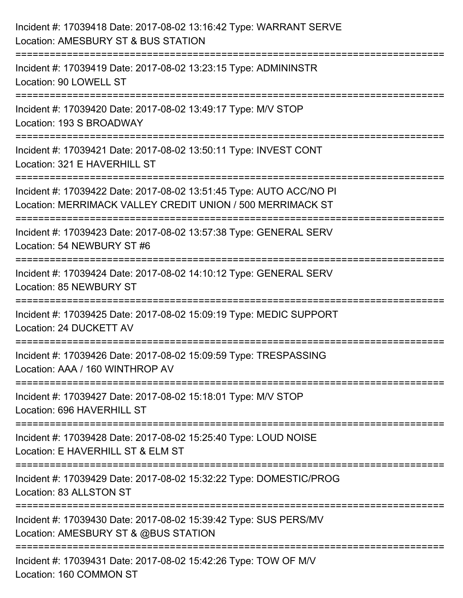| Incident #: 17039418 Date: 2017-08-02 13:16:42 Type: WARRANT SERVE<br>Location: AMESBURY ST & BUS STATION                                                                 |
|---------------------------------------------------------------------------------------------------------------------------------------------------------------------------|
| :=======================<br>Incident #: 17039419 Date: 2017-08-02 13:23:15 Type: ADMININSTR<br>Location: 90 LOWELL ST                                                     |
| Incident #: 17039420 Date: 2017-08-02 13:49:17 Type: M/V STOP<br>Location: 193 S BROADWAY                                                                                 |
| Incident #: 17039421 Date: 2017-08-02 13:50:11 Type: INVEST CONT<br>Location: 321 E HAVERHILL ST                                                                          |
| Incident #: 17039422 Date: 2017-08-02 13:51:45 Type: AUTO ACC/NO PI<br>Location: MERRIMACK VALLEY CREDIT UNION / 500 MERRIMACK ST<br>:==================<br>============= |
| Incident #: 17039423 Date: 2017-08-02 13:57:38 Type: GENERAL SERV<br>Location: 54 NEWBURY ST #6                                                                           |
| Incident #: 17039424 Date: 2017-08-02 14:10:12 Type: GENERAL SERV<br>Location: 85 NEWBURY ST                                                                              |
| Incident #: 17039425 Date: 2017-08-02 15:09:19 Type: MEDIC SUPPORT<br>Location: 24 DUCKETT AV                                                                             |
| Incident #: 17039426 Date: 2017-08-02 15:09:59 Type: TRESPASSING<br>Location: AAA / 160 WINTHROP AV                                                                       |
| Incident #: 17039427 Date: 2017-08-02 15:18:01 Type: M/V STOP<br>Location: 696 HAVERHILL ST                                                                               |
| Incident #: 17039428 Date: 2017-08-02 15:25:40 Type: LOUD NOISE<br>Location: E HAVERHILL ST & ELM ST                                                                      |
| Incident #: 17039429 Date: 2017-08-02 15:32:22 Type: DOMESTIC/PROG<br>Location: 83 ALLSTON ST                                                                             |
| Incident #: 17039430 Date: 2017-08-02 15:39:42 Type: SUS PERS/MV<br>Location: AMESBURY ST & @BUS STATION                                                                  |
| Incident #: 17039431 Date: 2017-08-02 15:42:26 Type: TOW OF M/V<br>Location: 160 COMMON ST                                                                                |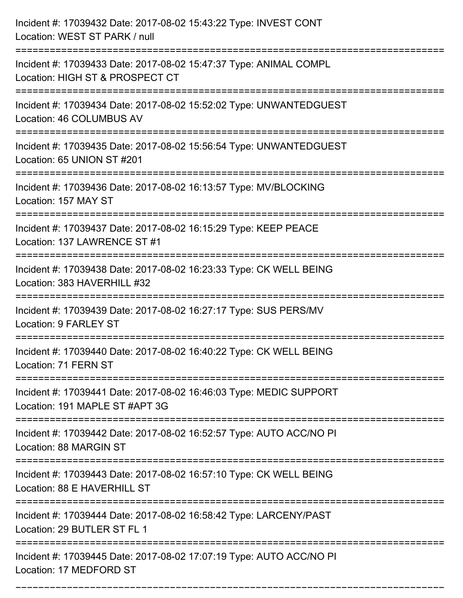| Incident #: 17039432 Date: 2017-08-02 15:43:22 Type: INVEST CONT<br>Location: WEST ST PARK / null                       |
|-------------------------------------------------------------------------------------------------------------------------|
| Incident #: 17039433 Date: 2017-08-02 15:47:37 Type: ANIMAL COMPL<br>Location: HIGH ST & PROSPECT CT                    |
| Incident #: 17039434 Date: 2017-08-02 15:52:02 Type: UNWANTEDGUEST<br>Location: 46 COLUMBUS AV                          |
| Incident #: 17039435 Date: 2017-08-02 15:56:54 Type: UNWANTEDGUEST<br>Location: 65 UNION ST #201                        |
| Incident #: 17039436 Date: 2017-08-02 16:13:57 Type: MV/BLOCKING<br>Location: 157 MAY ST                                |
| Incident #: 17039437 Date: 2017-08-02 16:15:29 Type: KEEP PEACE<br>Location: 137 LAWRENCE ST #1                         |
| Incident #: 17039438 Date: 2017-08-02 16:23:33 Type: CK WELL BEING<br>Location: 383 HAVERHILL #32<br>================== |
| Incident #: 17039439 Date: 2017-08-02 16:27:17 Type: SUS PERS/MV<br>Location: 9 FARLEY ST                               |
| Incident #: 17039440 Date: 2017-08-02 16:40:22 Type: CK WELL BEING<br>Location: 71 FERN ST                              |
| Incident #: 17039441 Date: 2017-08-02 16:46:03 Type: MEDIC SUPPORT<br>Location: 191 MAPLE ST #APT 3G                    |
| Incident #: 17039442 Date: 2017-08-02 16:52:57 Type: AUTO ACC/NO PI<br>Location: 88 MARGIN ST                           |
| Incident #: 17039443 Date: 2017-08-02 16:57:10 Type: CK WELL BEING<br>Location: 88 E HAVERHILL ST                       |
| Incident #: 17039444 Date: 2017-08-02 16:58:42 Type: LARCENY/PAST<br>Location: 29 BUTLER ST FL 1                        |
| Incident #: 17039445 Date: 2017-08-02 17:07:19 Type: AUTO ACC/NO PI<br>Location: 17 MEDFORD ST                          |

===========================================================================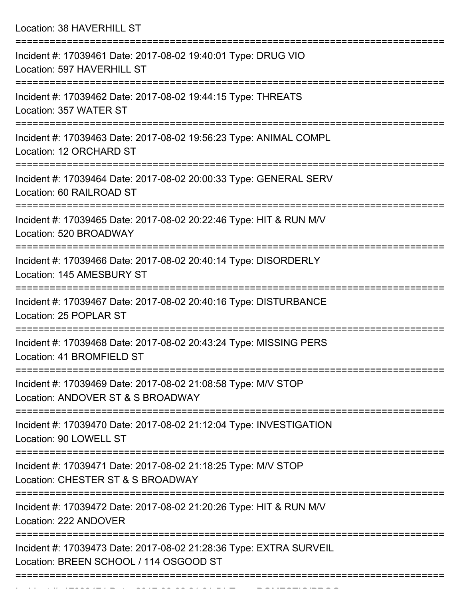Location: 38 HAVERHILL ST

| Incident #: 17039461 Date: 2017-08-02 19:40:01 Type: DRUG VIO<br>Location: 597 HAVERHILL ST                  |
|--------------------------------------------------------------------------------------------------------------|
| Incident #: 17039462 Date: 2017-08-02 19:44:15 Type: THREATS<br>Location: 357 WATER ST                       |
| Incident #: 17039463 Date: 2017-08-02 19:56:23 Type: ANIMAL COMPL<br>Location: 12 ORCHARD ST                 |
| Incident #: 17039464 Date: 2017-08-02 20:00:33 Type: GENERAL SERV<br>Location: 60 RAILROAD ST                |
| Incident #: 17039465 Date: 2017-08-02 20:22:46 Type: HIT & RUN M/V<br>Location: 520 BROADWAY                 |
| Incident #: 17039466 Date: 2017-08-02 20:40:14 Type: DISORDERLY<br>Location: 145 AMESBURY ST                 |
| Incident #: 17039467 Date: 2017-08-02 20:40:16 Type: DISTURBANCE<br>Location: 25 POPLAR ST                   |
| Incident #: 17039468 Date: 2017-08-02 20:43:24 Type: MISSING PERS<br>Location: 41 BROMFIELD ST               |
| Incident #: 17039469 Date: 2017-08-02 21:08:58 Type: M/V STOP<br>Location: ANDOVER ST & S BROADWAY           |
| Incident #: 17039470 Date: 2017-08-02 21:12:04 Type: INVESTIGATION<br>Location: 90 LOWELL ST                 |
| Incident #: 17039471 Date: 2017-08-02 21:18:25 Type: M/V STOP<br>Location: CHESTER ST & S BROADWAY           |
| Incident #: 17039472 Date: 2017-08-02 21:20:26 Type: HIT & RUN M/V<br>Location: 222 ANDOVER                  |
| Incident #: 17039473 Date: 2017-08-02 21:28:36 Type: EXTRA SURVEIL<br>Location: BREEN SCHOOL / 114 OSGOOD ST |
|                                                                                                              |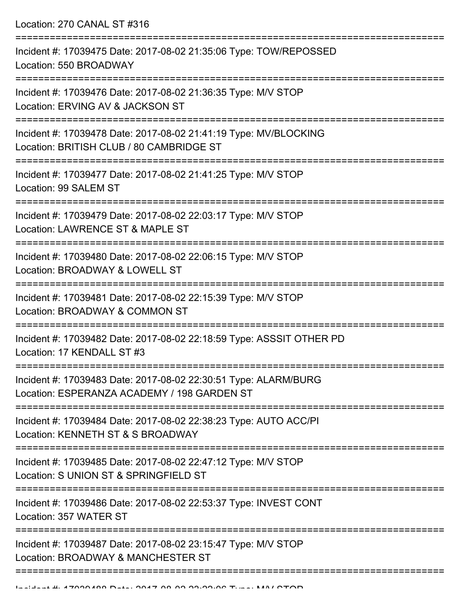Location: 270 CANAL ST #316

| Incident #: 17039475 Date: 2017-08-02 21:35:06 Type: TOW/REPOSSED<br>Location: 550 BROADWAY                    |
|----------------------------------------------------------------------------------------------------------------|
| Incident #: 17039476 Date: 2017-08-02 21:36:35 Type: M/V STOP<br>Location: ERVING AV & JACKSON ST              |
| Incident #: 17039478 Date: 2017-08-02 21:41:19 Type: MV/BLOCKING<br>Location: BRITISH CLUB / 80 CAMBRIDGE ST   |
| Incident #: 17039477 Date: 2017-08-02 21:41:25 Type: M/V STOP<br>Location: 99 SALEM ST                         |
| Incident #: 17039479 Date: 2017-08-02 22:03:17 Type: M/V STOP<br>Location: LAWRENCE ST & MAPLE ST              |
| Incident #: 17039480 Date: 2017-08-02 22:06:15 Type: M/V STOP<br>Location: BROADWAY & LOWELL ST                |
| Incident #: 17039481 Date: 2017-08-02 22:15:39 Type: M/V STOP<br>Location: BROADWAY & COMMON ST                |
| Incident #: 17039482 Date: 2017-08-02 22:18:59 Type: ASSSIT OTHER PD<br>Location: 17 KENDALL ST #3             |
| Incident #: 17039483 Date: 2017-08-02 22:30:51 Type: ALARM/BURG<br>Location: ESPERANZA ACADEMY / 198 GARDEN ST |
| Incident #: 17039484 Date: 2017-08-02 22:38:23 Type: AUTO ACC/PI<br>Location: KENNETH ST & S BROADWAY          |
| Incident #: 17039485 Date: 2017-08-02 22:47:12 Type: M/V STOP<br>Location: S UNION ST & SPRINGFIELD ST         |
| Incident #: 17039486 Date: 2017-08-02 22:53:37 Type: INVEST CONT<br>Location: 357 WATER ST                     |
| Incident #: 17039487 Date: 2017-08-02 23:15:47 Type: M/V STOP<br>Location: BROADWAY & MANCHESTER ST            |